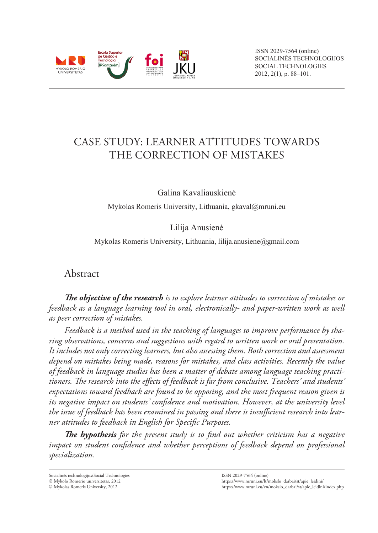

# CASE STUDY: LEARNER ATTITUDES TOWARDS THE CORRECTION OF MISTAKES

Galina Kavaliauskienė

Mykolas Romeris University, Lithuania, gkaval@mruni.eu

Lilija Anusienė

Mykolas Romeris University, Lithuania, lilija.anusiene@gmail.com

Abstract

*The objective of the research is to explore learner attitudes to correction of mistakes or feedback as a language learning tool in oral, electronically- and paper-written work as well as peer correction of mistakes.* 

*Feedback is a method used in the teaching of languages to improve performance by sharing observations, concerns and suggestions with regard to written work or oral presentation. It includes not only correcting learners, but also assessing them. Both correction and assessment depend on mistakes being made, reasons for mistakes, and class activities. Recently the value of feedback in language studies has been a matter of debate among language teaching practitioners. The research into the effects of feedback is far from conclusive. Teachers' and students' expectations toward feedback are found to be opposing, and the most frequent reason given is its negative impact on students' confidence and motivation. However, at the university level the issue of feedback has been examined in passing and there is insufficient research into learner attitudes to feedback in English for Specific Purposes.* 

*The hypothesis for the present study is to find out whether criticism has a negative impact on student confidence and whether perceptions of feedback depend on professional specialization.* 

Socialinės technologijos/Social Technologies

Mykolo Romerio universitetas, 2012

Mykolas Romeris University, 2012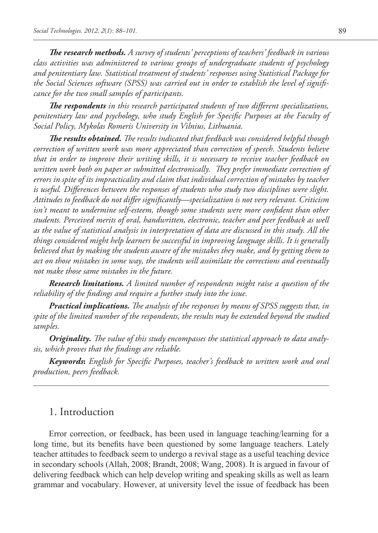*The research methods. A survey of students' perceptions of teachers' feedback in various class activities was administered to various groups of undergraduate students of psychology and penitentiary law. Statistical treatment of students' responses using Statistical Package for the Social Sciences software (SPSS) was carried out in order to establish the level of significance for the two small samples of participants.* 

*The respondents in this research participated students of two different specializations, penitentiary law and psychology, who study English for Specific Purposes at the Faculty of Social Policy, Mykolas Romeris University in Vilnius, Lithuania.* 

*The results obtained. The results indicated that feedback was considered helpful though correction of written work was more appreciated than correction of speech. Students believe that in order to improve their writing skills, it is necessary to receive teacher feedback on written work both on paper or submitted electronically. They prefer immediate correction of errors in spite of its impracticality and claim that individual correction of mistakes by teacher is useful. Differences between the responses of students who study two disciplines were slight. Attitudes to feedback do not differ significantly—specialization is not very relevant. Criticism*  isn't meant to undermine self-esteem, though some students were more confident than other *students. Perceived merits of oral, handwritten, electronic, teacher and peer feedback as well as the value of statistical analysis in interpretation of data are discussed in this study. All the things considered might help learners be successful in improving language skills. It is generally believed that by making the students aware of the mistakes they make, and by getting them to act on those mistakes in some way, the students will assimilate the corrections and eventually not make those same mistakes in the future.* 

*Research limitations. A limited number of respondents might raise a question of the reliability of the findings and require a further study into the issue.*

*Practical implications. The analysis of the responses by means of SPSS suggests that, in spite of the limited number of the respondents, the results may be extended beyond the studied samples.*

*Originality. The value of this study encompasses the statistical approach to data analysis, which proves that the findings are reliable.* 

*Keywords***:** *English for Specific Purposes, teacher's feedback to written work and oral production, peers feedback.*

# 1. Introduction

Error correction, or feedback, has been used in language teaching/learning for a long time, but its benefits have been questioned by some language teachers. Lately teacher attitudes to feedback seem to undergo a revival stage as a useful teaching device in secondary schools (Allah, 2008; Brandt, 2008; Wang, 2008). It is argued in favour of delivering feedback which can help develop writing and speaking skills as well as learn grammar and vocabulary. However, at university level the issue of feedback has been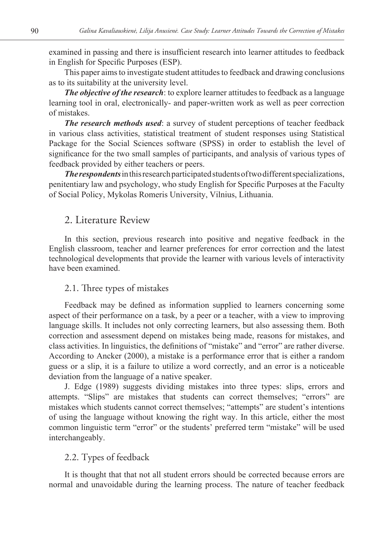examined in passing and there is insufficient research into learner attitudes to feedback in English for Specific Purposes (ESP).

This paper aims to investigate student attitudes to feedback and drawing conclusions as to its suitability at the university level.

*The objective of the research*: to explore learner attitudes to feedback as a language learning tool in oral, electronically- and paper-written work as well as peer correction of mistakes.

*The research methods used*: a survey of student perceptions of teacher feedback in various class activities, statistical treatment of student responses using Statistical Package for the Social Sciences software (SPSS) in order to establish the level of significance for the two small samples of participants, and analysis of various types of feedback provided by either teachers or peers.

*The respondents* in this research participated students of two different specializations, penitentiary law and psychology, who study English for Specific Purposes at the Faculty of Social Policy, Mykolas Romeris University, Vilnius, Lithuania.

# 2. Literature Review

In this section, previous research into positive and negative feedback in the English classroom, teacher and learner preferences for error correction and the latest technological developments that provide the learner with various levels of interactivity have been examined.

### 2.1. Three types of mistakes

Feedback may be defined as information supplied to learners concerning some aspect of their performance on a task, by a peer or a teacher, with a view to improving language skills. It includes not only correcting learners, but also assessing them. Both correction and assessment depend on mistakes being made, reasons for mistakes, and class activities. In linguistics, the definitions of "mistake" and "error" are rather diverse. According to Ancker (2000), a mistake is a performance error that is either a random guess or a slip, it is a failure to utilize a word correctly, and an error is a noticeable deviation from the language of a native speaker.

J. Edge (1989) suggests dividing mistakes into three types: slips, errors and attempts. "Slips" are mistakes that students can correct themselves; "errors" are mistakes which students cannot correct themselves; "attempts" are student's intentions of using the language without knowing the right way. In this article, either the most common linguistic term "error" or the students' preferred term "mistake" will be used interchangeably.

# 2.2. Types of feedback

It is thought that that not all student errors should be corrected because errors are normal and unavoidable during the learning process. The nature of teacher feedback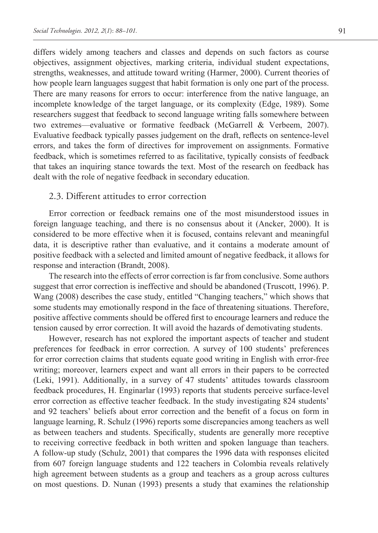differs widely among teachers and classes and depends on such factors as course objectives, assignment objectives, marking criteria, individual student expectations, strengths, weaknesses, and attitude toward writing (Harmer, 2000). Current theories of how people learn languages suggest that habit formation is only one part of the process. There are many reasons for errors to occur: interference from the native language, an incomplete knowledge of the target language, or its complexity (Edge, 1989). Some researchers suggest that feedback to second language writing falls somewhere between two extremes—evaluative or formative feedback (McGarrell & Verbeem, 2007). Evaluative feedback typically passes judgement on the draft, reflects on sentence-level errors, and takes the form of directives for improvement on assignments. Formative feedback, which is sometimes referred to as facilitative, typically consists of feedback that takes an inquiring stance towards the text. Most of the research on feedback has dealt with the role of negative feedback in secondary education.

### 2.3. Different attitudes to error correction

Error correction or feedback remains one of the most misunderstood issues in foreign language teaching, and there is no consensus about it (Ancker, 2000). It is considered to be more effective when it is focused, contains relevant and meaningful data, it is descriptive rather than evaluative, and it contains a moderate amount of positive feedback with a selected and limited amount of negative feedback, it allows for response and interaction (Brandt, 2008).

The research into the effects of error correction is far from conclusive. Some authors suggest that error correction is ineffective and should be abandoned (Truscott, 1996). P. Wang (2008) describes the case study, entitled "Changing teachers," which shows that some students may emotionally respond in the face of threatening situations. Therefore, positive affective comments should be offered first to encourage learners and reduce the tension caused by error correction. It will avoid the hazards of demotivating students.

However, research has not explored the important aspects of teacher and student preferences for feedback in error correction. A survey of 100 students' preferences for error correction claims that students equate good writing in English with error-free writing; moreover, learners expect and want all errors in their papers to be corrected (Leki, 1991). Additionally, in a survey of 47 students' attitudes towards classroom feedback procedures, H. Enginarlar (1993) reports that students perceive surface-level error correction as effective teacher feedback. In the study investigating 824 students' and 92 teachers' beliefs about error correction and the benefit of a focus on form in language learning, R. Schulz (1996) reports some discrepancies among teachers as well as between teachers and students. Specifically, students are generally more receptive to receiving corrective feedback in both written and spoken language than teachers. A follow-up study (Schulz, 2001) that compares the 1996 data with responses elicited from 607 foreign language students and 122 teachers in Colombia reveals relatively high agreement between students as a group and teachers as a group across cultures on most questions. D. Nunan (1993) presents a study that examines the relationship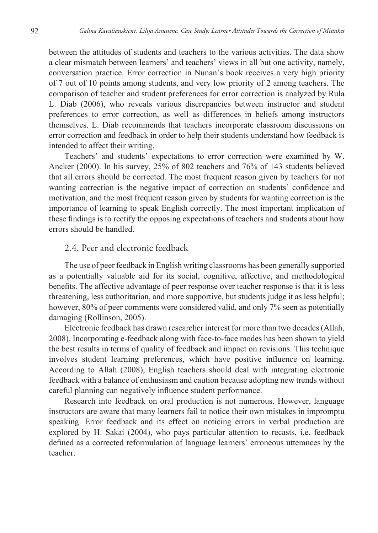between the attitudes of students and teachers to the various activities. The data show a clear mismatch between learners' and teachers' views in all but one activity, namely, conversation practice. Error correction in Nunan's book receives a very high priority of 7 out of 10 points among students, and very low priority of 2 among teachers. The comparison of teacher and student preferences for error correction is analyzed by Rula L. Diab (2006), who reveals various discrepancies between instructor and student preferences to error correction, as well as differences in beliefs among instructors themselves. L. Diab recommends that teachers incorporate classroom discussions on error correction and feedback in order to help their students understand how feedback is intended to affect their writing.

Teachers' and students' expectations to error correction were examined by W. Ancker (2000). In his survey, 25% of 802 teachers and 76% of 143 students believed that all errors should be corrected. The most frequent reason given by teachers for not wanting correction is the negative impact of correction on students' confidence and motivation, and the most frequent reason given by students for wanting correction is the importance of learning to speak English correctly. The most important implication of these findings is to rectify the opposing expectations of teachers and students about how errors should be handled.

# 2.4. Peer and electronic feedback

The use of peer feedback in English writing classrooms has been generally supported as a potentially valuable aid for its social, cognitive, affective, and methodological benefits. The affective advantage of peer response over teacher response is that it is less threatening, less authoritarian, and more supportive, but students judge it as less helpful; however, 80% of peer comments were considered valid, and only 7% seen as potentially damaging (Rollinson, 2005).

Electronic feedback has drawn researcher interest for more than two decades (Allah, 2008). Incorporating e-feedback along with face-to-face modes has been shown to yield the best results in terms of quality of feedback and impact on revisions. This technique involves student learning preferences, which have positive influence on learning. According to Allah (2008), English teachers should deal with integrating electronic feedback with a balance of enthusiasm and caution because adopting new trends without careful planning can negatively influence student performance.

Research into feedback on oral production is not numerous. However, language instructors are aware that many learners fail to notice their own mistakes in impromptu speaking. Error feedback and its effect on noticing errors in verbal production are explored by H. Sakai (2004), who pays particular attention to recasts, i.e. feedback defined as a corrected reformulation of language learners' erroneous utterances by the teacher.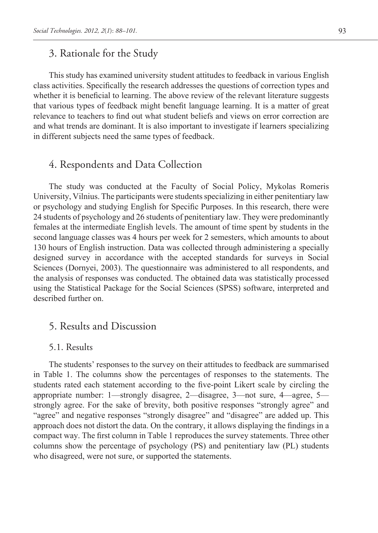# 3. Rationale for the Study

This study has examined university student attitudes to feedback in various English class activities. Specifically the research addresses the questions of correction types and whether it is beneficial to learning. The above review of the relevant literature suggests that various types of feedback might benefit language learning. It is a matter of great relevance to teachers to find out what student beliefs and views on error correction are and what trends are dominant. It is also important to investigate if learners specializing in different subjects need the same types of feedback.

# 4. Respondents and Data Collection

The study was conducted at the Faculty of Social Policy, Mykolas Romeris University, Vilnius. The participants were students specializing in either penitentiary law or psychology and studying English for Specific Purposes. In this research, there were 24 students of psychology and 26 students of penitentiary law. They were predominantly females at the intermediate English levels. The amount of time spent by students in the second language classes was 4 hours per week for 2 semesters, which amounts to about 130 hours of English instruction. Data was collected through administering a specially designed survey in accordance with the accepted standards for surveys in Social Sciences (Dornyei, 2003). The questionnaire was administered to all respondents, and the analysis of responses was conducted. The obtained data was statistically processed using the Statistical Package for the Social Sciences (SPSS) software, interpreted and described further on.

# 5. Results and Discussion

## 5.1. Results

The students' responses to the survey on their attitudes to feedback are summarised in Table 1. The columns show the percentages of responses to the statements. The students rated each statement according to the five-point Likert scale by circling the appropriate number: 1—strongly disagree, 2—disagree, 3—not sure, 4—agree, 5 strongly agree. For the sake of brevity, both positive responses "strongly agree" and "agree" and negative responses "strongly disagree" and "disagree" are added up. This approach does not distort the data. On the contrary, it allows displaying the findings in a compact way. The first column in Table 1 reproduces the survey statements. Three other columns show the percentage of psychology (PS) and penitentiary law (PL) students who disagreed, were not sure, or supported the statements.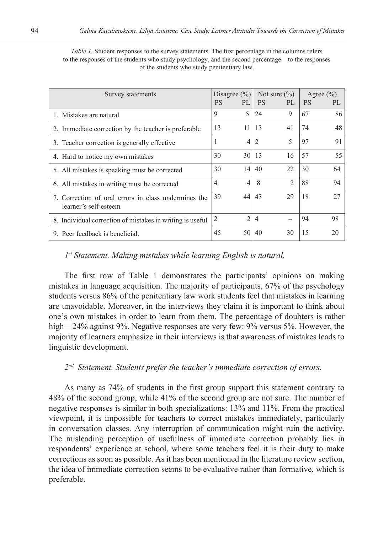| Survey statements                                                             | Disagree $(\% )$<br><b>PS</b><br>PI. |                                  | Not sure $(\% )$<br><b>PS</b><br>PL |    | Agree $(\% )$<br><b>PS</b><br>PI. |  |
|-------------------------------------------------------------------------------|--------------------------------------|----------------------------------|-------------------------------------|----|-----------------------------------|--|
|                                                                               |                                      |                                  |                                     |    |                                   |  |
| 1. Mistakes are natural                                                       | 5<br>9                               | 24                               | 9                                   | 67 | 86                                |  |
| 2. Immediate correction by the teacher is preferable.                         | 13<br>11                             | 13                               | 41                                  | 74 | 48                                |  |
| 3. Teacher correction is generally effective                                  | 1                                    | $\overline{2}$<br>4              | 5                                   | 97 | 91                                |  |
| 4. Hard to notice my own mistakes                                             | 30<br>30                             | 13                               | 16                                  | 57 | 55                                |  |
| 5. All mistakes is speaking must be corrected                                 | 30<br>14                             | 40                               | 22                                  | 30 | 64                                |  |
| 6. All mistakes in writing must be corrected                                  | $\overline{4}$                       | 8<br>$\overline{4}$              | $\mathfrak{D}$                      | 88 | 94                                |  |
| 7. Correction of oral errors in class undermines the<br>learner's self-esteem | 39<br>44                             | 43                               | 29                                  | 18 | 27                                |  |
| 8. Individual correction of mistakes in writing is useful.                    | 2                                    | $\overline{c}$<br>$\overline{4}$ |                                     | 94 | 98                                |  |
| 9. Peer feedback is beneficial.                                               | 45<br>50                             | 40                               | 30                                  | 15 | 20                                |  |

*Table 1.* Student responses to the survey statements. The first percentage in the columns refers to the responses of the students who study psychology, and the second percentage—to the responses of the students who study penitentiary law.

### *1st Statement. Making mistakes while learning English is natural.*

The first row of Table 1 demonstrates the participants' opinions on making mistakes in language acquisition. The majority of participants, 67% of the psychology students versus 86% of the penitentiary law work students feel that mistakes in learning are unavoidable. Moreover, in the interviews they claim it is important to think about one's own mistakes in order to learn from them. The percentage of doubters is rather high—24% against 9%. Negative responses are very few: 9% versus 5%. However, the majority of learners emphasize in their interviews is that awareness of mistakes leads to linguistic development.

### *2nd Statement. Students prefer the teacher's immediate correction of errors.*

As many as 74% of students in the first group support this statement contrary to 48% of the second group, while 41% of the second group are not sure. The number of negative responses is similar in both specializations: 13% and 11%. From the practical viewpoint, it is impossible for teachers to correct mistakes immediately, particularly in conversation classes. Any interruption of communication might ruin the activity. The misleading perception of usefulness of immediate correction probably lies in respondents' experience at school, where some teachers feel it is their duty to make corrections as soon as possible. As it has been mentioned in the literature review section, the idea of immediate correction seems to be evaluative rather than formative, which is preferable.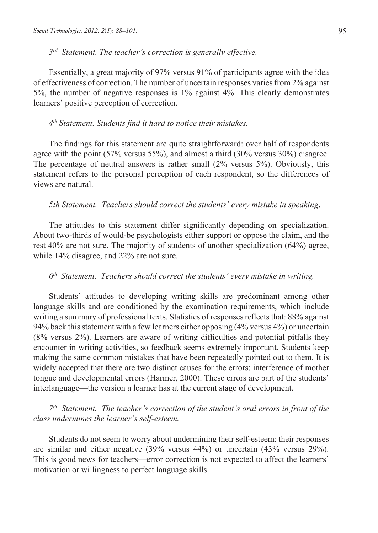*3rd Statement. The teacher's correction is generally effective.*

Essentially, a great majority of 97% versus 91% of participants agree with the idea of effectiveness of correction. The number of uncertain responses varies from 2% against 5%, the number of negative responses is 1% against 4%. This clearly demonstrates learners' positive perception of correction.

#### *4th Statement. Students find it hard to notice their mistakes.*

The findings for this statement are quite straightforward: over half of respondents agree with the point (57% versus 55%), and almost a third (30% versus 30%) disagree. The percentage of neutral answers is rather small (2% versus 5%). Obviously, this statement refers to the personal perception of each respondent, so the differences of views are natural.

*5th Statement. Teachers should correct the students' every mistake in speaking*.

The attitudes to this statement differ significantly depending on specialization. About two-thirds of would-be psychologists either support or oppose the claim, and the rest 40% are not sure. The majority of students of another specialization (64%) agree, while 14% disagree, and 22% are not sure.

#### *6th Statement. Teachers should correct the students' every mistake in writing.*

Students' attitudes to developing writing skills are predominant among other language skills and are conditioned by the examination requirements, which include writing a summary of professional texts. Statistics of responses reflects that: 88% against 94% back this statement with a few learners either opposing (4% versus 4%) or uncertain (8% versus 2%). Learners are aware of writing difficulties and potential pitfalls they encounter in writing activities, so feedback seems extremely important. Students keep making the same common mistakes that have been repeatedly pointed out to them. It is widely accepted that there are two distinct causes for the errors: interference of mother tongue and developmental errors (Harmer, 2000). These errors are part of the students' interlanguage—the version a learner has at the current stage of development.

*7th Statement. The teacher's correction of the student's oral errors in front of the class undermines the learner's self-esteem.* 

Students do not seem to worry about undermining their self-esteem: their responses are similar and either negative (39% versus 44%) or uncertain (43% versus 29%). This is good news for teachers—error correction is not expected to affect the learners' motivation or willingness to perfect language skills.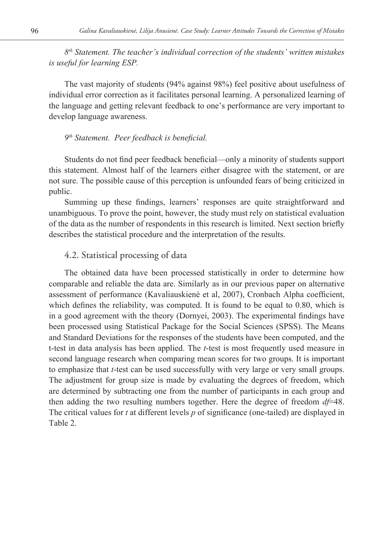*8th Statement. The teacher's individual correction of the students' written mistakes is useful for learning ESP.*

The vast majority of students (94% against 98%) feel positive about usefulness of individual error correction as it facilitates personal learning. A personalized learning of the language and getting relevant feedback to one's performance are very important to develop language awareness.

### *9th Statement. Peer feedback is beneficial.*

Students do not find peer feedback beneficial—only a minority of students support this statement. Almost half of the learners either disagree with the statement, or are not sure. The possible cause of this perception is unfounded fears of being criticized in public.

Summing up these findings, learners' responses are quite straightforward and unambiguous. To prove the point, however, the study must rely on statistical evaluation of the data as the number of respondents in this research is limited. Next section briefly describes the statistical procedure and the interpretation of the results.

# 4.2. Statistical processing of data

The obtained data have been processed statistically in order to determine how comparable and reliable the data are. Similarly as in our previous paper on alternative assessment of performance (Kavaliauskienė et al, 2007), Cronbach Alpha coefficient, which defines the reliability, was computed. It is found to be equal to 0.80, which is in a good agreement with the theory (Dornyei, 2003). The experimental findings have been processed using Statistical Package for the Social Sciences (SPSS). The Means and Standard Deviations for the responses of the students have been computed, and the t-test in data analysis has been applied. The *t*-test is most frequently used measure in second language research when comparing mean scores for two groups. It is important to emphasize that *t*-test can be used successfully with very large or very small groups. The adjustment for group size is made by evaluating the degrees of freedom, which are determined by subtracting one from the number of participants in each group and then adding the two resulting numbers together. Here the degree of freedom *df*=48. The critical values for *t* at different levels *p* of significance (one-tailed) are displayed in Table 2.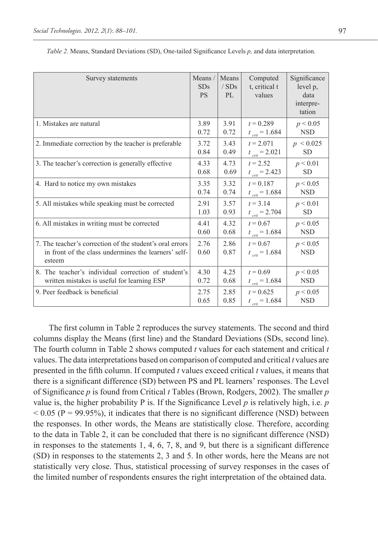| Survey statements                                                                                                          | Means/<br>SDs<br><b>PS</b> | Means<br>/SDs<br>PL | Computed<br>t, critical t<br>values | Significance<br>level p,<br>data<br>interpre-<br>tation |
|----------------------------------------------------------------------------------------------------------------------------|----------------------------|---------------------|-------------------------------------|---------------------------------------------------------|
| 1. Mistakes are natural                                                                                                    | 3.89                       | 3.91                | $t = 0.289$                         | p < 0.05                                                |
|                                                                                                                            | 0.72                       | 0.72                | $t_{\rm crit}$ = 1.684              | <b>NSD</b>                                              |
| 2. Immediate correction by the teacher is preferable                                                                       | 3.72                       | 3.43                | $t = 2.071$                         | $p \le 0.025$                                           |
|                                                                                                                            | 0.84                       | 0.49                | $t_{crit} = 2.021$                  | <b>SD</b>                                               |
| 3. The teacher's correction is generally effective                                                                         | 4.33                       | 4.73                | $t = 2.52$                          | p < 0.01                                                |
|                                                                                                                            | 0.68                       | 0.69                | $t_{crit} = 2.423$                  | <b>SD</b>                                               |
| 4. Hard to notice my own mistakes                                                                                          | 3.35                       | 3.32                | $t = 0.187$                         | p < 0.05                                                |
|                                                                                                                            | 0.74                       | 0.74                | $t_{crit} = 1.684$                  | <b>NSD</b>                                              |
| 5. All mistakes while speaking must be corrected                                                                           | 2.91                       | 3.57                | $t = 3.14$                          | p < 0.01                                                |
|                                                                                                                            | 1.03                       | 0.93                | $t_{crit} = 2.704$                  | <b>SD</b>                                               |
| 6. All mistakes in writing must be corrected                                                                               | 4.41                       | 4.32                | $t = 0.67$                          | p < 0.05                                                |
|                                                                                                                            | 0.60                       | 0.68                | $t_{\rm crit}$ = 1.684              | <b>NSD</b>                                              |
| 7. The teacher's correction of the student's oral errors<br>in front of the class undermines the learners' self-<br>esteem | 2.76<br>0.60               | 2.86<br>0.87        | $t = 0.67$<br>$t_{crit} = 1.684$    | p < 0.05<br><b>NSD</b>                                  |
| 8. The teacher's individual correction of student's                                                                        | 4.30                       | 4.25                | $t = 0.69$                          | p < 0.05                                                |
| written mistakes is useful for learning ESP                                                                                | 0.72                       | 0.68                | $t_{crit} = 1.684$                  | <b>NSD</b>                                              |
| 9. Peer feedback is beneficial                                                                                             | 2.75                       | 2.85                | $t = 0.625$                         | p < 0.05                                                |
|                                                                                                                            | 0.65                       | 0.85                | $t_{crit} = 1.684$                  | <b>NSD</b>                                              |

*Table 2.* Means, Standard Deviations (SD), One-tailed Significance Levels *p,* and data interpretation.

The first column in Table 2 reproduces the survey statements. The second and third columns display the Means (first line) and the Standard Deviations (SDs, second line). The fourth column in Table 2 shows computed *t* values for each statement and critical *t* values. The data interpretations based on comparison of computed and critical *t* values are presented in the fifth column. If computed *t* values exceed critical *t* values, it means that there is a significant difference (SD) between PS and PL learners' responses. The Level of Significance *p* is found from Critical *t* Tables (Brown, Rodgers, 2002). The smaller *p* value is, the higher probability P is. If the Significance Level  $p$  is relatively high, i.e.  $p$  $< 0.05$  (P = 99.95%), it indicates that there is no significant difference (NSD) between the responses. In other words, the Means are statistically close. Therefore, according to the data in Table 2, it can be concluded that there is no significant difference (NSD) in responses to the statements 1, 4, 6, 7, 8, and 9, but there is a significant difference (SD) in responses to the statements 2, 3 and 5. In other words, here the Means are not statistically very close. Thus, statistical processing of survey responses in the cases of the limited number of respondents ensures the right interpretation of the obtained data.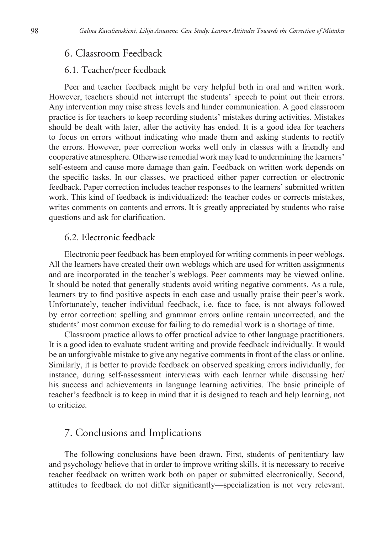# 6. Classroom Feedback

### 6.1. Teacher/peer feedback

Peer and teacher feedback might be very helpful both in oral and written work. However, teachers should not interrupt the students' speech to point out their errors. Any intervention may raise stress levels and hinder communication. A good classroom practice is for teachers to keep recording students' mistakes during activities. Mistakes should be dealt with later, after the activity has ended. It is a good idea for teachers to focus on errors without indicating who made them and asking students to rectify the errors. However, peer correction works well only in classes with a friendly and cooperative atmosphere. Otherwise remedial work may lead to undermining the learners' self-esteem and cause more damage than gain. Feedback on written work depends on the specific tasks. In our classes, we practiced either paper correction or electronic feedback. Paper correction includes teacher responses to the learners' submitted written work. This kind of feedback is individualized: the teacher codes or corrects mistakes, writes comments on contents and errors. It is greatly appreciated by students who raise questions and ask for clarification.

# 6.2. Electronic feedback

Electronic peer feedback has been employed for writing comments in peer weblogs. All the learners have created their own weblogs which are used for written assignments and are incorporated in the teacher's weblogs. Peer comments may be viewed online. It should be noted that generally students avoid writing negative comments. As a rule, learners try to find positive aspects in each case and usually praise their peer's work. Unfortunately, teacher individual feedback, i.e. face to face, is not always followed by error correction: spelling and grammar errors online remain uncorrected, and the students' most common excuse for failing to do remedial work is a shortage of time.

Classroom practice allows to offer practical advice to other language practitioners. It is a good idea to evaluate student writing and provide feedback individually. It would be an unforgivable mistake to give any negative comments in front of the class or online. Similarly, it is better to provide feedback on observed speaking errors individually, for instance, during self-assessment interviews with each learner while discussing her/ his success and achievements in language learning activities. The basic principle of teacher's feedback is to keep in mind that it is designed to teach and help learning, not to criticize.

# 7. Conclusions and Implications

The following conclusions have been drawn. First, students of penitentiary law and psychology believe that in order to improve writing skills, it is necessary to receive teacher feedback on written work both on paper or submitted electronically. Second, attitudes to feedback do not differ significantly—specialization is not very relevant.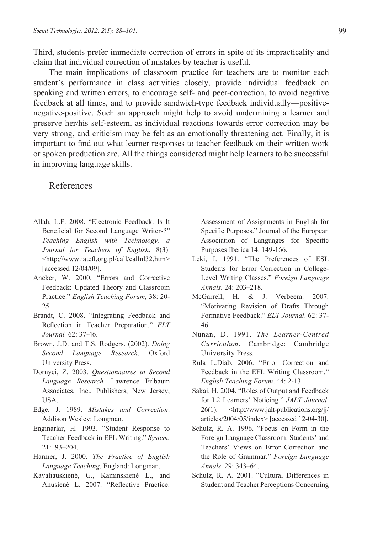Third, students prefer immediate correction of errors in spite of its impracticality and claim that individual correction of mistakes by teacher is useful.

The main implications of classroom practice for teachers are to monitor each student's performance in class activities closely, provide individual feedback on speaking and written errors, to encourage self- and peer-correction, to avoid negative feedback at all times, and to provide sandwich-type feedback individually—positivenegative-positive. Such an approach might help to avoid undermining a learner and preserve her/his self-esteem, as individual reactions towards error correction may be very strong, and criticism may be felt as an emotionally threatening act. Finally, it is important to find out what learner responses to teacher feedback on their written work or spoken production are. All the things considered might help learners to be successful in improving language skills.

# References

- Allah, L.F. 2008. "Electronic Feedback: Is It Beneficial for Second Language Writers?" *Teaching English with Technology, a Journal for Teachers of English*, 8(3). <http://www.iatefl.org.pl/call/callnl32.htm> [accessed 12/04/09].
- Ancker, W. 2000. "Errors and Corrective Feedback: Updated Theory and Classroom Practice." *English Teaching Forum,* 38: 20- 25.
- Brandt, C. 2008. "Integrating Feedback and Reflection in Teacher Preparation." *ELT Journal.* 62: 37-46.
- Brown, J.D. and T.S. Rodgers. (2002). *Doing Second Language Research*. Oxford University Press.
- Dornyei, Z. 2003. *Questionnaires in Second Language Research.* Lawrence Erlbaum Associates, Inc., Publishers, New Jersey, USA.
- Edge, J. 1989. *Mistakes and Correction*. Addison Wesley: Longman.
- Enginarlar, H. 1993. "Student Response to Teacher Feedback in EFL Writing." *System.*  21:193–204.
- Harmer, J. 2000. *The Practice of English Language Teaching*. England: Longman.
- Kavaliauskienė, G., Kaminskienė L., and Anusienė L. 2007. "Reflective Practice:

Assessment of Assignments in English for Specific Purposes." Journal of the European Association of Languages for Specific Purposes Iberica 14: 149-166.

- Leki, I. 1991. "The Preferences of ESL Students for Error Correction in College-Level Writing Classes." *Foreign Language Annals.* 24: 203–218.
- McGarrell, H. & J. Verbeem. 2007. "Motivating Revision of Drafts Through Formative Feedback." *ELT Journal*. 62: 37- 46.
- Nunan, D. 1991. *The Learner-Centred Curriculum*. Cambridge: Cambridge University Press.
- Rula L.Diab. 2006. "Error Correction and Feedback in the EFL Writing Classroom." *English Teaching Forum*. 44: 2-13.
- Sakai, H. 2004. "Roles of Output and Feedback for L2 Learners' Noticing." *JALT Journal*. 26(1). <http://www.jalt-publications.org/jj/ articles/2004/05/index> [accessed 12-04-30].
- Schulz, R. A. 1996. "Focus on Form in the Foreign Language Classroom: Students' and Teachers' Views on Error Correction and the Role of Grammar." *Foreign Language Annals*. 29: 343–64.
- Schulz, R. A. 2001. "Cultural Differences in Student and Teacher Perceptions Concerning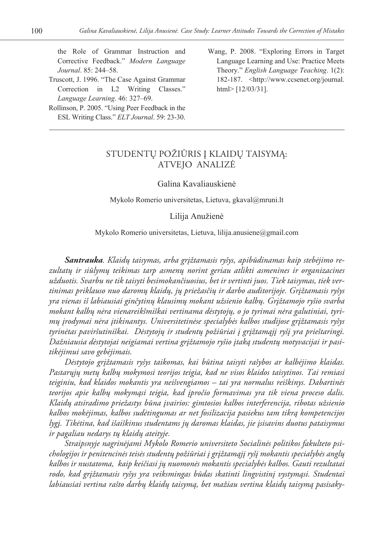the Role of Grammar Instruction and Corrective Feedback." *Modern Language Journal*. 85: 244–58.

- Truscott, J. 1996. "The Case Against Grammar Correction in L2 Writing Classes." *Language Learning*. 46: 327–69.
- Rollinson, P. 2005. "Using Peer Feedback in the ESL Writing Class." *ELT Journal*. 59: 23-30.
- Wang, P. 2008. "Exploring Errors in Target Language Learning and Use: Practice Meets Theory." *English Language Teaching*. 1(2): 182-187. <http://www.ccsenet.org/journal. html> [12/03/31].

# STUDENTŲ POŽIŪRIS Į KLAIDŲ TAISYMĄ: ATVEJO ANALIZĖ

#### Galina Kavaliauskienė

Mykolo Romerio universitetas, Lietuva, gkaval@mruni.lt

#### Lilija Anužienė

#### Mykolo Romerio universitetas, Lietuva, lilija.anusiene@gmail.com

*Santrauka. Klaidų taisymas, arba grįžtamasis ryšys, apibūdinamas kaip stebėjimo rezultatų ir siūlymų teikimas tarp asmenų norint geriau atlikti asmenines ir organizacines užduotis. Svarbu ne tik taisyti besimokančiuosius, bet ir vertinti juos. Tiek taisymas, tiek vertinimas priklauso nuo daromų klaidų, jų priežasčių ir darbo auditorijoje. Grįžtamasis ryšys yra vienas iš labiausiai ginčytinų klausimų mokant užsienio kalbų. Grįžtamojo ryšio svarba mokant kalbų nėra vienareikšmiškai vertinama dėstytojų, o jo tyrimai nėra galutiniai, tyrimų įrodymai nėra įtikinantys. Universitetinėse specialybės kalbos studijose grįžtamasis ryšys tyrinėtas paviršutiniškai. Dėstytojų ir studentų požiūriai į grįžtamąjį ryšį yra prieštaringi. Dažniausia dėstytojai neigiamai vertina grįžtamojo ryšio įtaką studentų motyvacijai ir pasitikėjimui savo gebėjimais.* 

*Dėstytojo grįžtamasis ryšys taikomas, kai būtina taisyti rašybos ar kalbėjimo klaidas. Pastarųjų metų kalbų mokymosi teorijos teigia, kad ne visos klaidos taisytinos. Tai remiasi teiginiu, kad klaidos mokantis yra neišvengiamos – tai yra normalus reiškinys. Dabartinės teorijos apie kalbų mokymąsi teigia, kad įpročio formavimas yra tik viena proceso dalis. Klaidų atsiradimo priežastys būna įvairios: gimtosios kalbos interferencija, ribotas užsienio kalbos mokėjimas, kalbos sudėtingumas ar net fosilizacija pasiekus tam tikrą kompetencijos lygį. Tikėtina, kad išaiškinus studentams jų daromas klaidas, jie įsisavins duotus pataisymus ir pagaliau nedarys tų klaidų ateityje.*

*Straipsnyje nagrinėjami Mykolo Romerio universiteto Socialinės politikos fakulteto psichologijos ir penitencinės teisės studentų požiūriai į grįžtamąjį ryšį mokantis specialybės anglų kalbos ir nustatoma, kaip keičiasi jų nuomonės mokantis specialybės kalbos. Gauti rezultatai rodo, kad grįžtamasis ryšys yra veiksmingas būdas skatinti lingvistinį vystymąsi. Studentai labiausiai vertina rašto darbų klaidų taisymą, bet mažiau vertina klaidų taisymą pasisaky-*